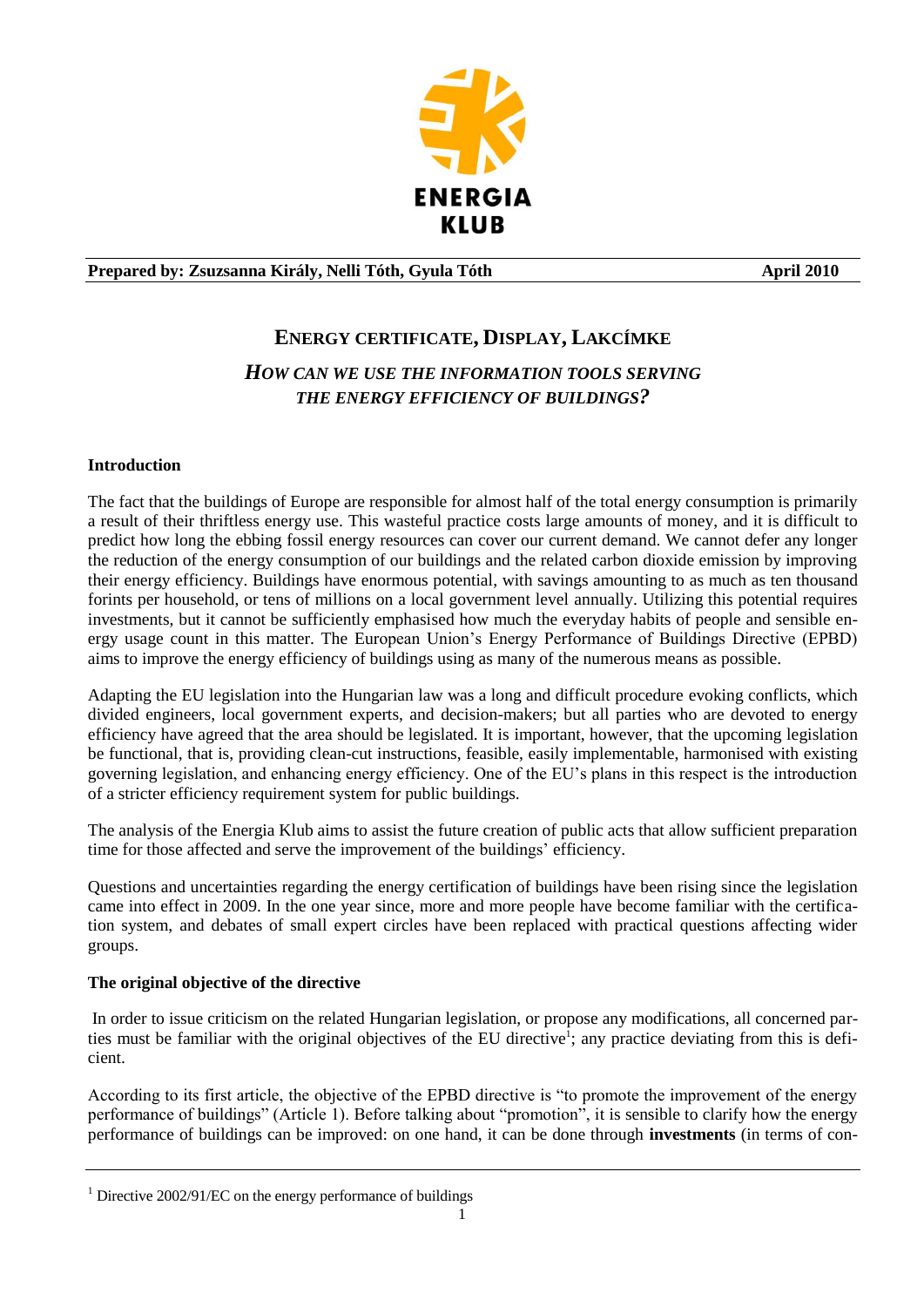

## **Prepared by: Zsuzsanna Király, Nelli Tóth, Gyula Tóth April 2010**

# **ENERGY CERTIFICATE, DISPLAY, LAKCÍMKE**

# *HOW CAN WE USE THE INFORMATION TOOLS SERVING THE ENERGY EFFICIENCY OF BUILDINGS?*

## **Introduction**

The fact that the buildings of Europe are responsible for almost half of the total energy consumption is primarily a result of their thriftless energy use. This wasteful practice costs large amounts of money, and it is difficult to predict how long the ebbing fossil energy resources can cover our current demand. We cannot defer any longer the reduction of the energy consumption of our buildings and the related carbon dioxide emission by improving their energy efficiency. Buildings have enormous potential, with savings amounting to as much as ten thousand forints per household, or tens of millions on a local government level annually. Utilizing this potential requires investments, but it cannot be sufficiently emphasised how much the everyday habits of people and sensible energy usage count in this matter. The European Union's Energy Performance of Buildings Directive (EPBD) aims to improve the energy efficiency of buildings using as many of the numerous means as possible.

Adapting the EU legislation into the Hungarian law was a long and difficult procedure evoking conflicts, which divided engineers, local government experts, and decision-makers; but all parties who are devoted to energy efficiency have agreed that the area should be legislated. It is important, however, that the upcoming legislation be functional, that is, providing clean-cut instructions, feasible, easily implementable, harmonised with existing governing legislation, and enhancing energy efficiency. One of the EU's plans in this respect is the introduction of a stricter efficiency requirement system for public buildings.

The analysis of the Energia Klub aims to assist the future creation of public acts that allow sufficient preparation time for those affected and serve the improvement of the buildings' efficiency.

Questions and uncertainties regarding the energy certification of buildings have been rising since the legislation came into effect in 2009. In the one year since, more and more people have become familiar with the certification system, and debates of small expert circles have been replaced with practical questions affecting wider groups.

## **The original objective of the directive**

In order to issue criticism on the related Hungarian legislation, or propose any modifications, all concerned parties must be familiar with the original objectives of the EU directive<sup>1</sup>; any practice deviating from this is deficient.

According to its first article, the objective of the EPBD directive is "to promote the improvement of the energy performance of buildings" (Article 1). Before talking about "promotion", it is sensible to clarify how the energy performance of buildings can be improved: on one hand, it can be done through **investments** (in terms of con-

 $1$  Directive 2002/91/EC on the energy performance of buildings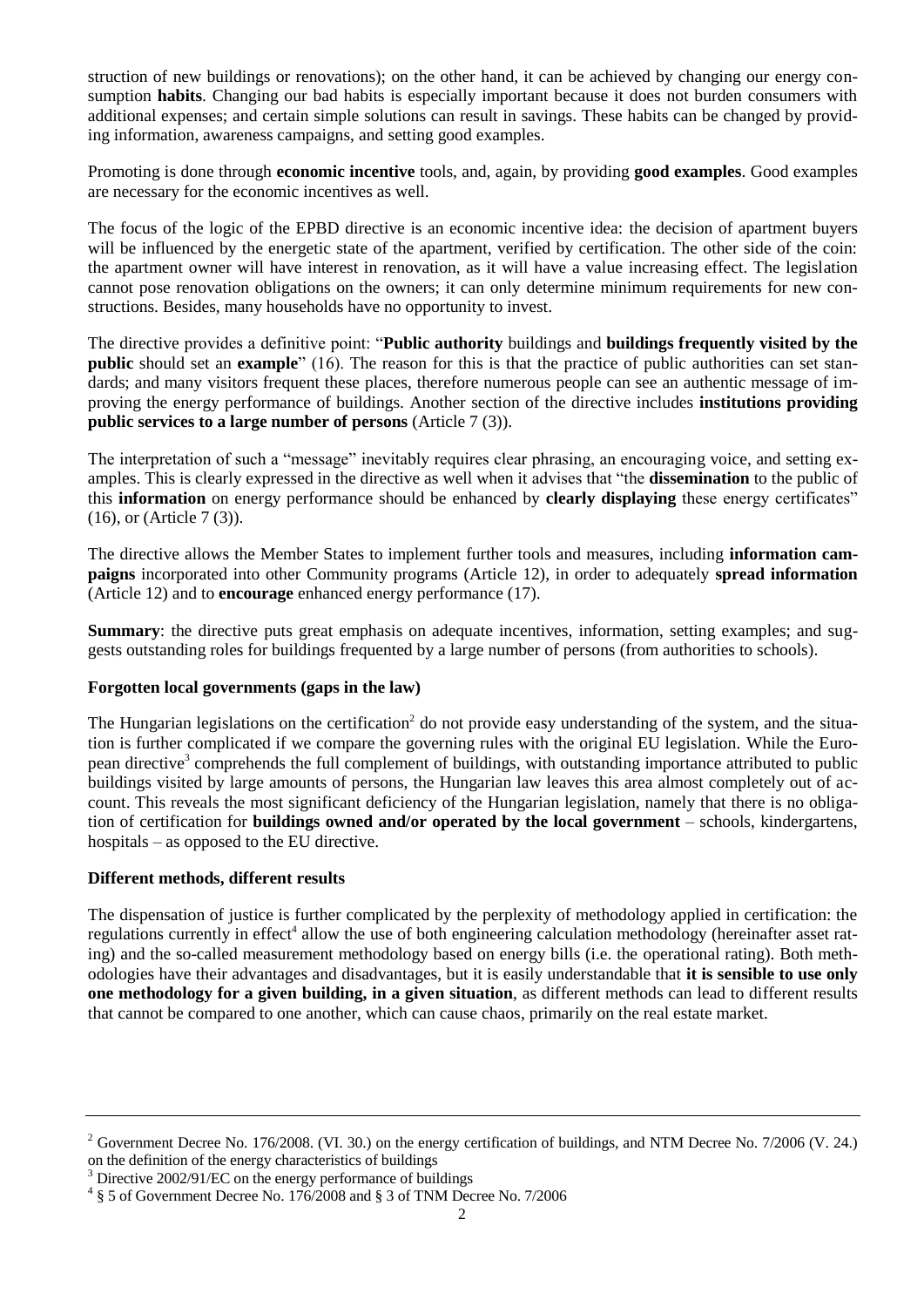struction of new buildings or renovations); on the other hand, it can be achieved by changing our energy consumption **habits**. Changing our bad habits is especially important because it does not burden consumers with additional expenses; and certain simple solutions can result in savings. These habits can be changed by providing information, awareness campaigns, and setting good examples.

Promoting is done through **economic incentive** tools, and, again, by providing **good examples**. Good examples are necessary for the economic incentives as well.

The focus of the logic of the EPBD directive is an economic incentive idea: the decision of apartment buyers will be influenced by the energetic state of the apartment, verified by certification. The other side of the coin: the apartment owner will have interest in renovation, as it will have a value increasing effect. The legislation cannot pose renovation obligations on the owners; it can only determine minimum requirements for new constructions. Besides, many households have no opportunity to invest.

The directive provides a definitive point: "**Public authority** buildings and **buildings frequently visited by the public** should set an **example**" (16). The reason for this is that the practice of public authorities can set standards; and many visitors frequent these places, therefore numerous people can see an authentic message of improving the energy performance of buildings. Another section of the directive includes **institutions providing public services to a large number of persons** (Article 7 (3)).

The interpretation of such a "message" inevitably requires clear phrasing, an encouraging voice, and setting examples. This is clearly expressed in the directive as well when it advises that "the **dissemination** to the public of this **information** on energy performance should be enhanced by **clearly displaying** these energy certificates" (16), or (Article 7 (3)).

The directive allows the Member States to implement further tools and measures, including **information campaigns** incorporated into other Community programs (Article 12), in order to adequately **spread information** (Article 12) and to **encourage** enhanced energy performance (17).

**Summary**: the directive puts great emphasis on adequate incentives, information, setting examples; and suggests outstanding roles for buildings frequented by a large number of persons (from authorities to schools).

#### **Forgotten local governments (gaps in the law)**

The Hungarian legislations on the certification<sup>2</sup> do not provide easy understanding of the system, and the situation is further complicated if we compare the governing rules with the original EU legislation. While the European directive<sup>3</sup> comprehends the full complement of buildings, with outstanding importance attributed to public buildings visited by large amounts of persons, the Hungarian law leaves this area almost completely out of account. This reveals the most significant deficiency of the Hungarian legislation, namely that there is no obligation of certification for **buildings owned and/or operated by the local government** – schools, kindergartens, hospitals – as opposed to the EU directive.

#### **Different methods, different results**

The dispensation of justice is further complicated by the perplexity of methodology applied in certification: the regulations currently in effect<sup>4</sup> allow the use of both engineering calculation methodology (hereinafter asset rating) and the so-called measurement methodology based on energy bills (i.e. the operational rating). Both methodologies have their advantages and disadvantages, but it is easily understandable that **it is sensible to use only one methodology for a given building, in a given situation**, as different methods can lead to different results that cannot be compared to one another, which can cause chaos, primarily on the real estate market.

<sup>&</sup>lt;sup>2</sup> Government Decree No. 176/2008. (VI. 30.) on the energy certification of buildings, and NTM Decree No. 7/2006 (V. 24.) on the definition of the energy characteristics of buildings

<sup>&</sup>lt;sup>3</sup> Directive 2002/91/EC on the energy performance of buildings

<sup>&</sup>lt;sup>4</sup> § 5 of Government Decree No. 176/2008 and § 3 of TNM Decree No. 7/2006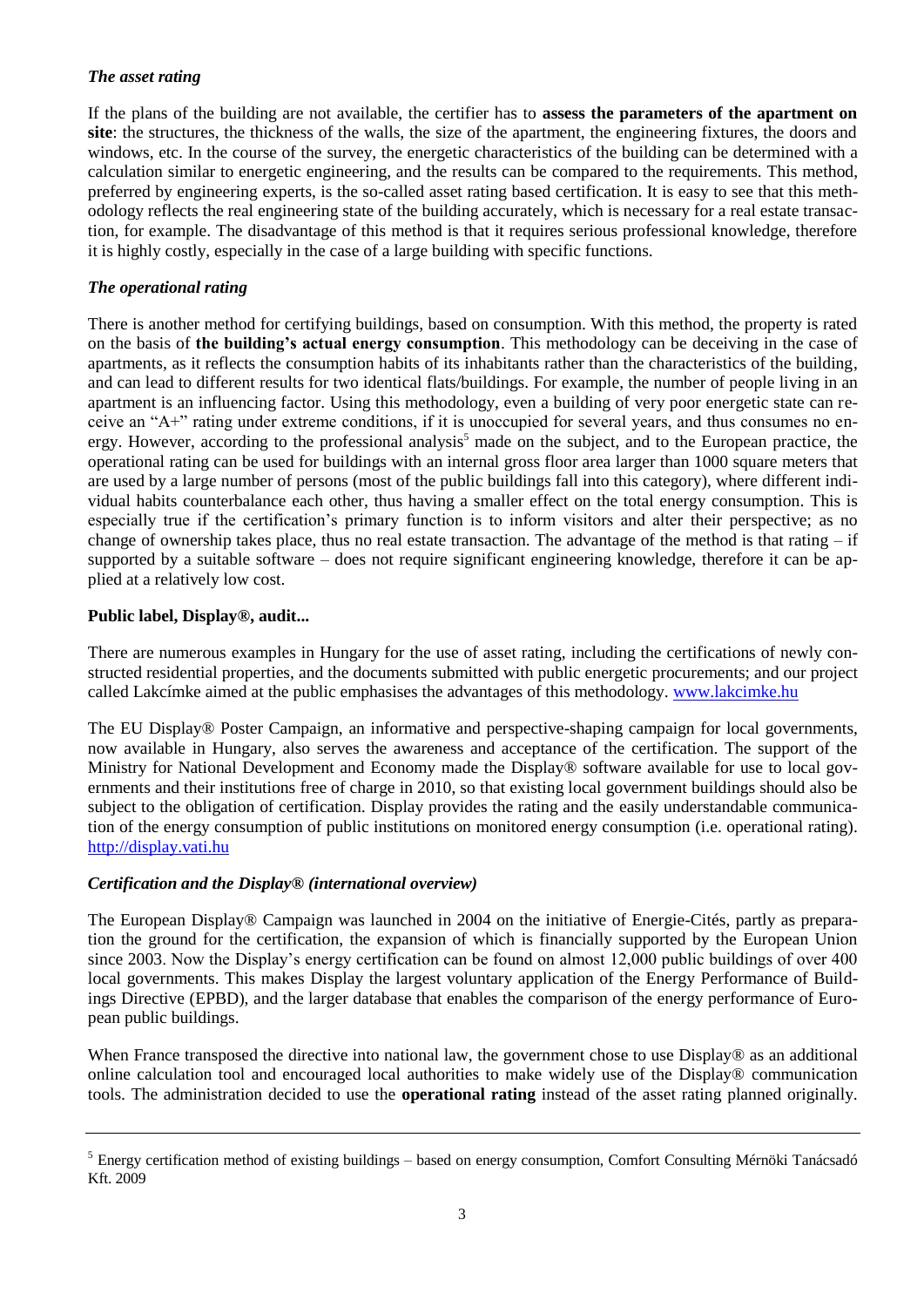### *The asset rating*

If the plans of the building are not available, the certifier has to **assess the parameters of the apartment on site**: the structures, the thickness of the walls, the size of the apartment, the engineering fixtures, the doors and windows, etc. In the course of the survey, the energetic characteristics of the building can be determined with a calculation similar to energetic engineering, and the results can be compared to the requirements. This method, preferred by engineering experts, is the so-called asset rating based certification. It is easy to see that this methodology reflects the real engineering state of the building accurately, which is necessary for a real estate transaction, for example. The disadvantage of this method is that it requires serious professional knowledge, therefore it is highly costly, especially in the case of a large building with specific functions.

## *The operational rating*

There is another method for certifying buildings, based on consumption. With this method, the property is rated on the basis of **the building's actual energy consumption**. This methodology can be deceiving in the case of apartments, as it reflects the consumption habits of its inhabitants rather than the characteristics of the building, and can lead to different results for two identical flats/buildings. For example, the number of people living in an apartment is an influencing factor. Using this methodology, even a building of very poor energetic state can receive an "A+" rating under extreme conditions, if it is unoccupied for several years, and thus consumes no energy. However, according to the professional analysis<sup>5</sup> made on the subject, and to the European practice, the operational rating can be used for buildings with an internal gross floor area larger than 1000 square meters that are used by a large number of persons (most of the public buildings fall into this category), where different individual habits counterbalance each other, thus having a smaller effect on the total energy consumption. This is especially true if the certification's primary function is to inform visitors and alter their perspective; as no change of ownership takes place, thus no real estate transaction. The advantage of the method is that rating  $-$  if supported by a suitable software – does not require significant engineering knowledge, therefore it can be applied at a relatively low cost.

### **Public label, Display®, audit...**

There are numerous examples in Hungary for the use of asset rating, including the certifications of newly constructed residential properties, and the documents submitted with public energetic procurements; and our project called Lakcímke aimed at the public emphasises the advantages of this methodology. [www.lakcimke.hu](http://www.lakcimke.hu/)

The EU Display® Poster Campaign, an informative and perspective-shaping campaign for local governments, now available in Hungary, also serves the awareness and acceptance of the certification. The support of the Ministry for National Development and Economy made the Display® software available for use to local governments and their institutions free of charge in 2010, so that existing local government buildings should also be subject to the obligation of certification. Display provides the rating and the easily understandable communication of the energy consumption of public institutions on monitored energy consumption (i.e. operational rating). [http://display.vati.hu](http://display.vati.hu/)

#### *Certification and the Display® (international overview)*

The European Display® Campaign was launched in 2004 on the initiative of Energie-Cités, partly as preparation the ground for the certification, the expansion of which is financially supported by the European Union since 2003. Now the Display's energy certification can be found on almost 12,000 public buildings of over 400 local governments. This makes Display the largest voluntary application of the Energy Performance of Buildings Directive (EPBD), and the larger database that enables the comparison of the energy performance of European public buildings.

When France transposed the directive into national law, the government chose to use Display® as an additional online calculation tool and encouraged local authorities to make widely use of the Display® communication tools. The administration decided to use the **operational rating** instead of the asset rating planned originally.

<sup>5</sup> Energy certification method of existing buildings – based on energy consumption, Comfort Consulting Mérnöki Tanácsadó Kft. 2009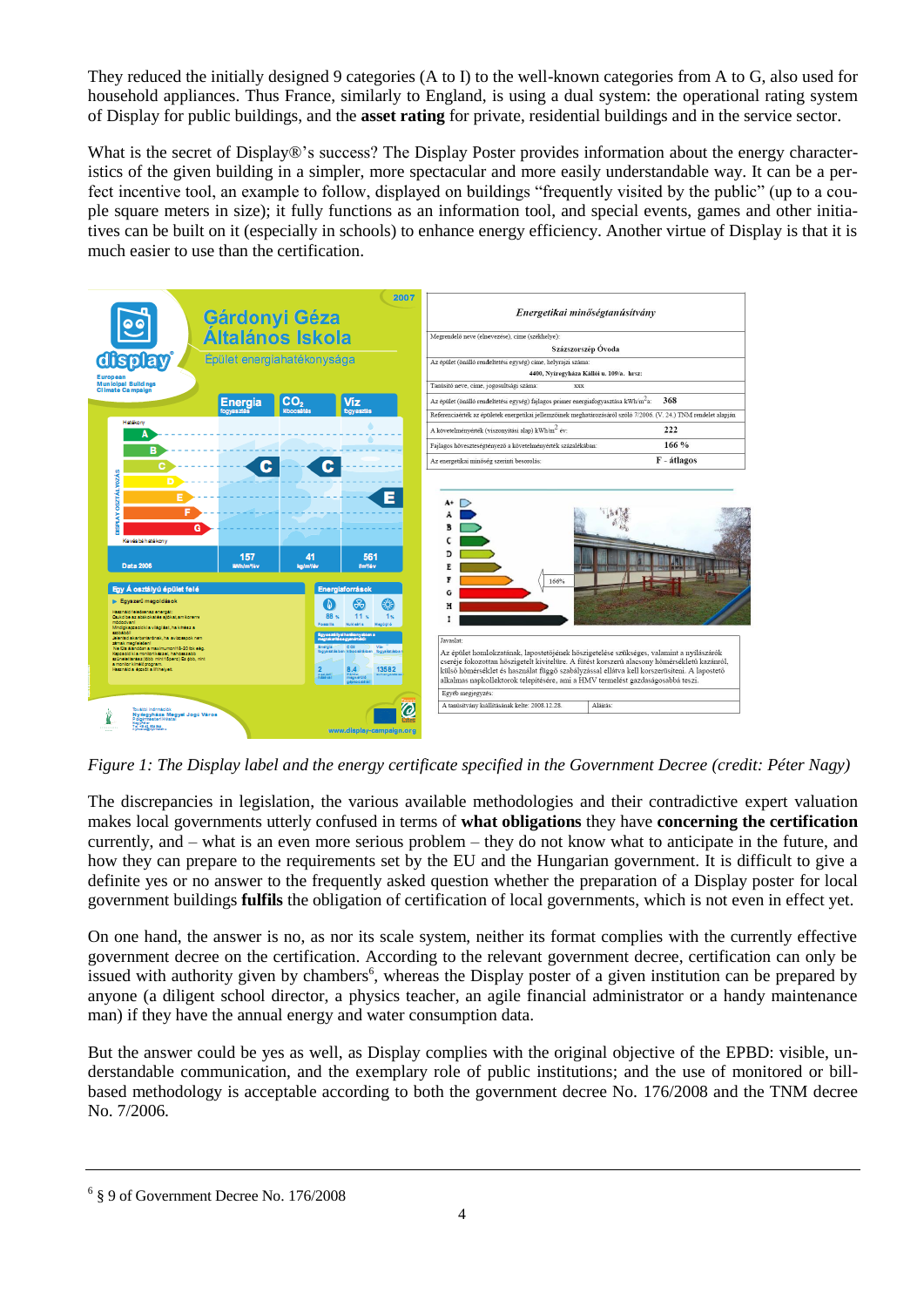They reduced the initially designed 9 categories (A to I) to the well-known categories from A to G, also used for household appliances. Thus France, similarly to England, is using a dual system: the operational rating system of Display for public buildings, and the **asset rating** for private, residential buildings and in the service sector.

What is the secret of Display®'s success? The Display Poster provides information about the energy characteristics of the given building in a simpler, more spectacular and more easily understandable way. It can be a perfect incentive tool, an example to follow, displayed on buildings "frequently visited by the public" (up to a couple square meters in size); it fully functions as an information tool, and special events, games and other initiatives can be built on it (especially in schools) to enhance energy efficiency. Another virtue of Display is that it is much easier to use than the certification.



*Figure 1: The Display label and the energy certificate specified in the Government Decree (credit: Péter Nagy)*

The discrepancies in legislation, the various available methodologies and their contradictive expert valuation makes local governments utterly confused in terms of **what obligations** they have **concerning the certification** currently, and – what is an even more serious problem – they do not know what to anticipate in the future, and how they can prepare to the requirements set by the EU and the Hungarian government. It is difficult to give a definite yes or no answer to the frequently asked question whether the preparation of a Display poster for local government buildings **fulfils** the obligation of certification of local governments, which is not even in effect yet.

On one hand, the answer is no, as nor its scale system, neither its format complies with the currently effective government decree on the certification. According to the relevant government decree, certification can only be issued with authority given by chambers<sup>6</sup>, whereas the Display poster of a given institution can be prepared by anyone (a diligent school director, a physics teacher, an agile financial administrator or a handy maintenance man) if they have the annual energy and water consumption data.

But the answer could be yes as well, as Display complies with the original objective of the EPBD: visible, understandable communication, and the exemplary role of public institutions; and the use of monitored or billbased methodology is acceptable according to both the government decree No. 176/2008 and the TNM decree No. 7/2006.

<sup>6</sup> § 9 of Government Decree No. 176/2008